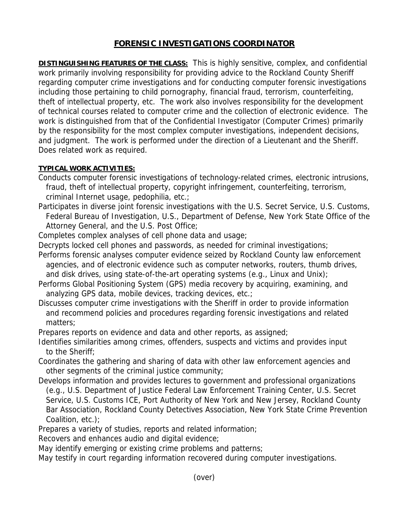# **FORENSIC INVESTIGATIONS COORDINATOR**

**DISTINGUISHING FEATURES OF THE CLASS:** This is highly sensitive, complex, and confidential work primarily involving responsibility for providing advice to the Rockland County Sheriff regarding computer crime investigations and for conducting computer forensic investigations including those pertaining to child pornography, financial fraud, terrorism, counterfeiting, theft of intellectual property, etc. The work also involves responsibility for the development of technical courses related to computer crime and the collection of electronic evidence. The work is distinguished from that of the Confidential Investigator (Computer Crimes) primarily by the responsibility for the most complex computer investigations, independent decisions, and judgment. The work is performed under the direction of a Lieutenant and the Sheriff. Does related work as required.

## **TYPICAL WORK ACTIVITIES:**

- Conducts computer forensic investigations of technology-related crimes, electronic intrusions, fraud, theft of intellectual property, copyright infringement, counterfeiting, terrorism, criminal Internet usage, pedophilia, etc.;
- Participates in diverse joint forensic investigations with the U.S. Secret Service, U.S. Customs, Federal Bureau of Investigation, U.S., Department of Defense, New York State Office of the Attorney General, and the U.S. Post Office;
- Completes complex analyses of cell phone data and usage;
- Decrypts locked cell phones and passwords, as needed for criminal investigations;
- Performs forensic analyses computer evidence seized by Rockland County law enforcement agencies, and of electronic evidence such as computer networks, routers, thumb drives, and disk drives, using state-of-the-art operating systems (e.g., Linux and Unix);
- Performs Global Positioning System (GPS) media recovery by acquiring, examining, and analyzing GPS data, mobile devices, tracking devices, etc.;
- Discusses computer crime investigations with the Sheriff in order to provide information and recommend policies and procedures regarding forensic investigations and related matters;

Prepares reports on evidence and data and other reports, as assigned;

- Identifies similarities among crimes, offenders, suspects and victims and provides input to the Sheriff;
- Coordinates the gathering and sharing of data with other law enforcement agencies and other segments of the criminal justice community;
- Develops information and provides lectures to government and professional organizations (e.g., U.S. Department of Justice Federal Law Enforcement Training Center, U.S. Secret Service, U.S. Customs ICE, Port Authority of New York and New Jersey, Rockland County Bar Association, Rockland County Detectives Association, New York State Crime Prevention Coalition, etc.);

Prepares a variety of studies, reports and related information;

Recovers and enhances audio and digital evidence;

May identify emerging or existing crime problems and patterns;

May testify in court regarding information recovered during computer investigations.